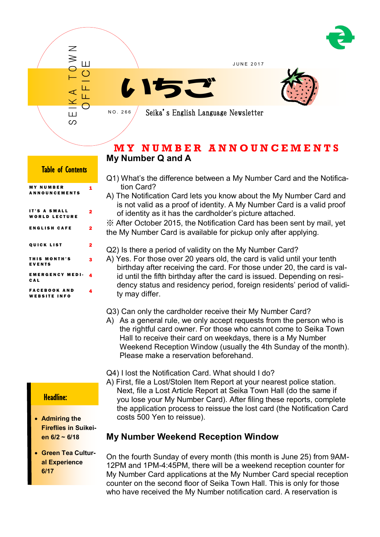

J U N E 2 0 1 7





Seika's English Language Newsletter

# **M Y N U M B E R A N N O U N C E M E N T S My Number Q and A**

| <b>MY NUMBER</b><br><b>ANNOUNCEMENTS</b>    | 1 |
|---------------------------------------------|---|
| <b>IT'S A SMALL</b><br><b>WORLD LECTURE</b> |   |
| <b>ENGLISH CAFE</b>                         |   |
| <b>QUICK LIST</b>                           | 2 |
| THIS MONTH'S<br><b>EVENTS</b>               | 3 |
| <b>EMERGENCY MEDI-</b><br>CAL               | 4 |
| <b>FACEBOOK AND</b><br><b>WEBSITE INFO</b>  | 4 |

### Table of Contents

S E I K A T O W N

Ш တ

 $\overline{\mathcal{Z}}$  $\geqslant$ 

O F F I C E

N O . 2 6 6

| IT'S A SMALL<br><b>WORLD LECTURE</b>       | 2 |
|--------------------------------------------|---|
| <b>ENGLISH CAFE</b>                        | 2 |
| <b>QUICK LIST</b>                          | 2 |
| THIS MONTH'S<br><b>EVENTS</b>              | 3 |
| <b>EMERGENCY MEDI-</b><br>CAL              | 4 |
| <b>FACEBOOK AND</b><br><b>WEBSITE INFO</b> | 4 |

### Headline:

- **Admiring the Fireflies in Suikeien 6/2 ~ 6/18**
- **Green Tea Cultural Experience 6/17**

Q1) What's the difference between a My Number Card and the Notification Card?

- A) The Notification Card lets you know about the My Number Card and is not valid as a proof of identity. A My Number Card is a valid proof of identity as it has the cardholder's picture attached.
- ※ After October 2015, the Notification Card has been sent by mail, yet the My Number Card is available for pickup only after applying.

Q2) Is there a period of validity on the My Number Card?

- A) Yes. For those over 20 years old, the card is valid until your tenth birthday after receiving the card. For those under 20, the card is valid until the fifth birthday after the card is issued. Depending on residency status and residency period, foreign residents' period of validity may differ.
- Q3) Can only the cardholder receive their My Number Card?
- A) As a general rule, we only accept requests from the person who is the rightful card owner. For those who cannot come to Seika Town Hall to receive their card on weekdays, there is a My Number Weekend Reception Window (usually the 4th Sunday of the month). Please make a reservation beforehand.

Q4) I lost the Notification Card. What should I do?

A) First, file a Lost/Stolen Item Report at your nearest police station. Next, file a Lost Article Report at Seika Town Hall (do the same if you lose your My Number Card). After filing these reports, complete the application process to reissue the lost card (the Notification Card costs 500 Yen to reissue).

### **My Number Weekend Reception Window**

On the fourth Sunday of every month (this month is June 25) from 9AM-12PM and 1PM-4:45PM, there will be a weekend reception counter for My Number Card applications at the My Number Card special reception counter on the second floor of Seika Town Hall. This is only for those who have received the My Number notification card. A reservation is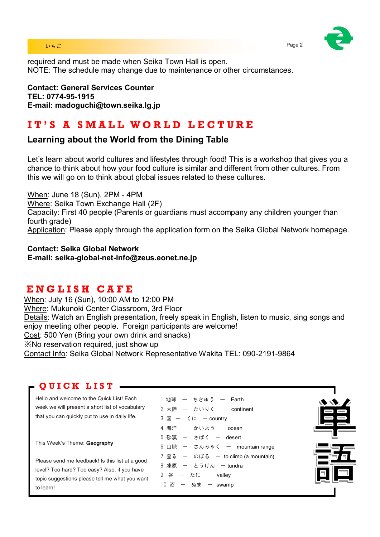

### いちご Page 2 とのこと Page 2 とのこと アイディング・プレート こうしょうかい Page 2

required and must be made when Seika Town Hall is open. NOTE: The schedule may change due to maintenance or other circumstances.

#### **Contact: General Services Counter TEL: 0774-95-1915 E-mail: madoguchi@town.seika.lg.jp**

# **I T ' S A S M A L L W O R L D L E C T U R E**

# **Learning about the World from the Dining Table**

Let's learn about world cultures and lifestyles through food! This is a workshop that gives you a chance to think about how your food culture is similar and different from other cultures. From this we will go on to think about global issues related to these cultures.

When: June 18 (Sun), 2PM - 4PM Where: Seika Town Exchange Hall (2F) Capacity: First 40 people (Parents or guardians must accompany any children younger than fourth grade) Application: Please apply through the application form on the Seika Global Network homepage.

**Contact: Seika Global Network E-mail: seika-global-net-info@zeus.eonet.ne.jp** 

# **E N G L I S H C A F E**

When: July 16 (Sun), 10:00 AM to 12:00 PM Where: Mukunoki Center Classroom, 3rd Floor Details: Watch an English presentation, freely speak in English, listen to music, sing songs and enjoy meeting other people. Foreign participants are welcome! Cost: 500 Yen (Bring your own drink and snacks) ※No reservation required, just show up Contact Info: Seika Global Network Representative Wakita TEL: 090-2191-9864

### **OUICK LIST.**

Hello and welcome to the Quick List! Each week we will present a short list of vocabulary that you can quickly put to use in daily life.

This Week's Theme: Geography

Please send me feedback! Is this list at a good level? Too hard? Too easy? Also, if you have topic suggestions please tell me what you want to learn!

|  | 1. 地球 ー ちきゅう ー Earth                                     |                                     |
|--|----------------------------------------------------------|-------------------------------------|
|  | 2. 大陸 – たいりく – continent                                 |                                     |
|  | 3. $\boxplus -\langle \text{C} - \text{country} \rangle$ |                                     |
|  | 4. 海洋 – かいよう – ocean                                     |                                     |
|  | 5. 砂漠 ー さばく ー desert                                     |                                     |
|  |                                                          | 6. 山脈 ー さんみゃく ー mountain range      |
|  |                                                          | 7. 登る – のぼる – to climb (a mountain) |
|  | 8. 凍原 ー とうげん ー tundra                                    |                                     |
|  | 9. 谷 ー たに ー valley                                       |                                     |
|  | 10. 沼 — ぬま — swamp                                       |                                     |
|  |                                                          |                                     |

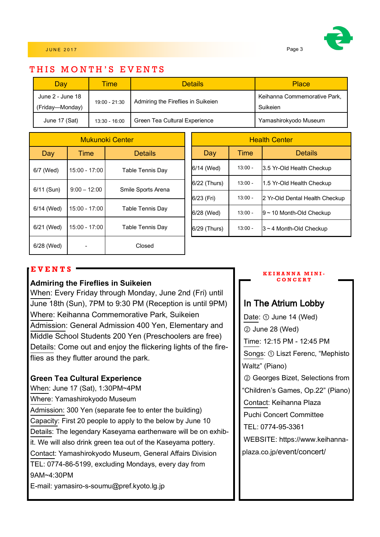

### THIS MONTH'S EVENTS

| Day<br>Time                         |                 | <b>Details</b>                     | <b>Place</b>                             |  |
|-------------------------------------|-----------------|------------------------------------|------------------------------------------|--|
| June 2 - June 18<br>(Friday-Monday) | 19:00 - 21:30   | Admiring the Fireflies in Suikeien | Keihanna Commemorative Park,<br>Suikeien |  |
|                                     |                 |                                    |                                          |  |
| June 17 (Sat)                       | $13:30 - 16:00$ | Green Tea Cultural Experience      | Yamashirokyodo Museum                    |  |

| Mukunoki Center |                 |                         |  |
|-----------------|-----------------|-------------------------|--|
| Day             | Time            | Details                 |  |
| 6/7 (Wed)       | 15:00 - 17:00   | <b>Table Tennis Day</b> |  |
| 6/11 (Sun)      | $9:00 - 12:00$  | Smile Sports Arena      |  |
| 6/14 (Wed)      | 15:00 - 17:00   | <b>Table Tennis Day</b> |  |
| 6/21 (Wed)      | $15:00 - 17:00$ | Table Tennis Day        |  |
| 6/28 (Wed)      |                 | Closed                  |  |

| <b>Health Center</b> |           |                                |  |
|----------------------|-----------|--------------------------------|--|
| Day                  | Time      | Details                        |  |
| 6/14 (Wed)           | $13:00 -$ | 3.5 Yr-Old Health Checkup      |  |
| 6/22 (Thurs)         | $13:00 -$ | 1.5 Yr-Old Health Checkup      |  |
| 6/23 (Fri)           | $13:00 -$ | 2 Yr-Old Dental Health Checkup |  |
| 6/28 (Wed)           | $13:00 -$ | $9 \sim 10$ Month-Old Checkup  |  |
| 6/29 (Thurs)         | $13:00 -$ | $3 \sim 4$ Month-Old Checkup   |  |

### **E V E N T S**

#### **Admiring the Fireflies in Suikeien**

When: Every Friday through Monday, June 2nd (Fri) until June 18th (Sun), 7PM to 9:30 PM (Reception is until 9PM) Where: Keihanna Commemorative Park, Suikeien Admission: General Admission 400 Yen, Elementary and Middle School Students 200 Yen (Preschoolers are free) Details: Come out and enjoy the flickering lights of the fireflies as they flutter around the park.

#### **Green Tea Cultural Experience**

When: June 17 (Sat), 1:30PM~4PM Where: Yamashirokyodo Museum Admission: 300 Yen (separate fee to enter the building) Capacity: First 20 people to apply to the below by June 10 Details: The legendary Kaseyama earthenware will be on exhibit. We will also drink green tea out of the Kaseyama pottery. Contact: Yamashirokyodo Museum, General Affairs Division TEL: 0774-86-5199, excluding Mondays, every day from 9AM~4:30PM E-mail: yamasiro-s-soumu@pref.kyoto.lg.jp

#### **K E I H A N N A M I N I - C O N C E R T**

### In The Atrium Lobby

Date: ① June 14 (Wed) ② June 28 (Wed) Time: 12:15 PM - 12:45 PM Songs: ① Liszt Ferenc, "Mephisto Waltz" (Piano) ② Georges Bizet, Selections from "Children's Games, Op.22" (Piano) Contact: Keihanna Plaza Puchi Concert Committee TEL: 0774-95-3361 WEBSITE: https://www.keihannaplaza.co.jp/event/concert/